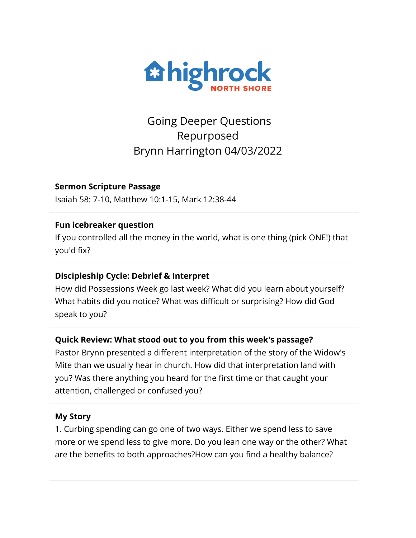

Going Deeper Questions Repurposed Brynn Harrington 04/03/2022

#### **Sermon Scripture Passage**

Isaiah 58: 7-10, Matthew 10:1-15, Mark 12:38-44

#### **Fun icebreaker question**

If you controlled all the money in the world, what is one thing (pick ONE!) that you'd fix?

#### **Discipleship Cycle: Debrief & Interpret**

How did Possessions Week go last week? What did you learn about yourself? What habits did you notice? What was difficult or surprising? How did God speak to you?

#### **Quick Review: What stood out to you from this week's passage?**

Pastor Brynn presented a different interpretation of the story of the Widow's Mite than we usually hear in church. How did that interpretation land with you? Was there anything you heard for the first time or that caught your attention, challenged or confused you?

#### **My Story**

1. Curbing spending can go one of two ways. Either we spend less to save more or we spend less to give more. Do you lean one way or the other? What are the benefits to both approaches?How can you find a healthy balance?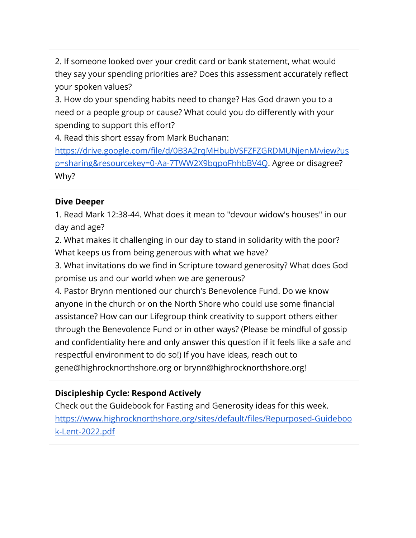2. If someone looked over your credit card or bank statement, what would they say your spending priorities are? Does this assessment accurately reflect your spoken values?

3. How do your spending habits need to change? Has God drawn you to a need or a people group or cause? What could you do differently with your spending to support this effort?

4. Read this short essay from Mark Buchanan:

[https://drive.google.com/file/d/0B3A2rqMHbubVSFZFZGRDMUNjenM/view?us](https://drive.google.com/file/d/0B3A2rqMHbubVSFZFZGRDMUNjenM/view?usp=sharing&resourcekey=0-Aa-7TWW2X9bqpoFhhbBV4Q) [p=sharing&resourcekey=0-Aa-7TWW2X9bqpoFhhbBV4Q](https://drive.google.com/file/d/0B3A2rqMHbubVSFZFZGRDMUNjenM/view?usp=sharing&resourcekey=0-Aa-7TWW2X9bqpoFhhbBV4Q). Agree or disagree? Why?

## **Dive Deeper**

1. Read Mark 12:38-44. What does it mean to "devour widow's houses" in our day and age?

2. What makes it challenging in our day to stand in solidarity with the poor? What keeps us from being generous with what we have?

3. What invitations do we find in Scripture toward generosity? What does God promise us and our world when we are generous?

4. Pastor Brynn mentioned our church's Benevolence Fund. Do we know anyone in the church or on the North Shore who could use some financial assistance? How can our Lifegroup think creativity to support others either through the Benevolence Fund or in other ways? (Please be mindful of gossip and confidentiality here and only answer this question if it feels like a safe and respectful environment to do so!) If you have ideas, reach out to gene@highrocknorthshore.org or brynn@highrocknorthshore.org!

# **Discipleship Cycle: Respond Actively**

Check out the Guidebook for Fasting and Generosity ideas for this week. [https://www.highrocknorthshore.org/sites/default/files/Repurposed-Guideboo](https://www.highrocknorthshore.org/sites/default/files/Repurposed-Guidebook-Lent-2022.pdf) [k-Lent-2022.pdf](https://www.highrocknorthshore.org/sites/default/files/Repurposed-Guidebook-Lent-2022.pdf)